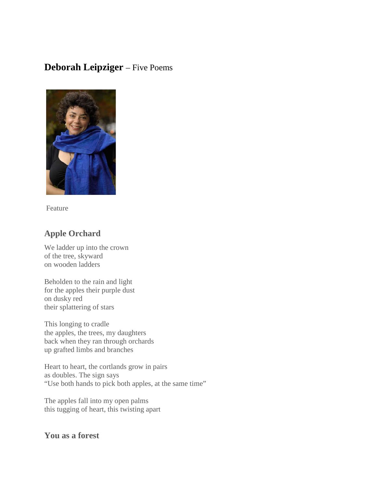# **Deborah Leipziger** – Five Poems



Feature

### **Apple Orchard**

We ladder up into the crown of the tree, skyward on wooden ladders

Beholden to the rain and light for the apples their purple dust on dusky red their splattering of stars

This longing to cradle the apples, the trees, my daughters back when they ran through orchards up grafted limbs and branches

Heart to heart, the cortlands grow in pairs as doubles. The sign says "Use both hands to pick both apples, at the same time"

The apples fall into my open palms this tugging of heart, this twisting apart

## **You as a forest**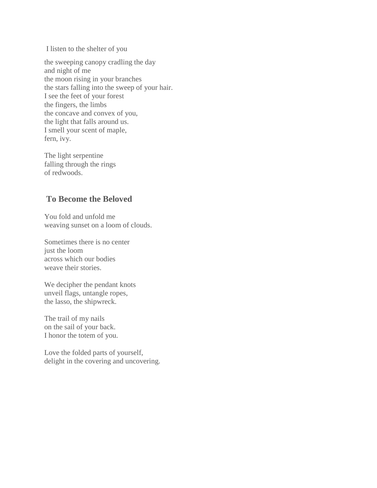I listen to the shelter of you

the sweeping canopy cradling the day and night of me the moon rising in your branches the stars falling into the sweep of your hair. I see the feet of your forest the fingers, the limbs the concave and convex of you, the light that falls around us. I smell your scent of maple, fern, ivy.

The light serpentine falling through the rings of redwoods.

### **To Become the Beloved**

You fold and unfold me weaving sunset on a loom of clouds.

Sometimes there is no center just the loom across which our bodies weave their stories.

We decipher the pendant knots unveil flags, untangle ropes, the lasso, the shipwreck.

The trail of my nails on the sail of your back. I honor the totem of you.

Love the folded parts of yourself, delight in the covering and uncovering.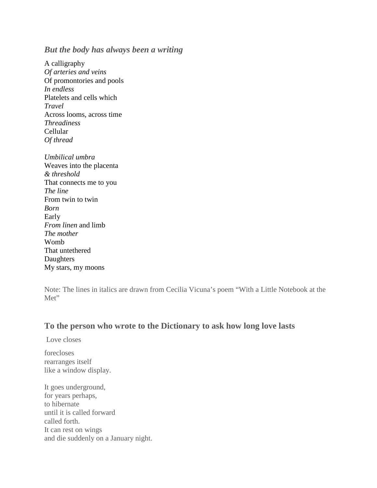#### *But the body has always been a writing*

A calligraphy *Of arteries and veins* Of promontories and pools *In endless* Platelets and cells which *Travel* Across looms, across time *Threadiness* Cellular *Of thread*

*Umbilical umbra* Weaves into the placenta *& threshold* That connects me to you *The line* From twin to twin *Born* Early *From linen* and limb *The mother* Womb That untethered **Daughters** My stars, my moons

Note: The lines in italics are drawn from Cecilia Vicuna's poem "With a Little Notebook at the Met"

#### **To the person who wrote to the Dictionary to ask how long love lasts**

Love closes

forecloses rearranges itself like a window display.

It goes underground, for years perhaps, to hibernate until it is called forward called forth. It can rest on wings and die suddenly on a January night.